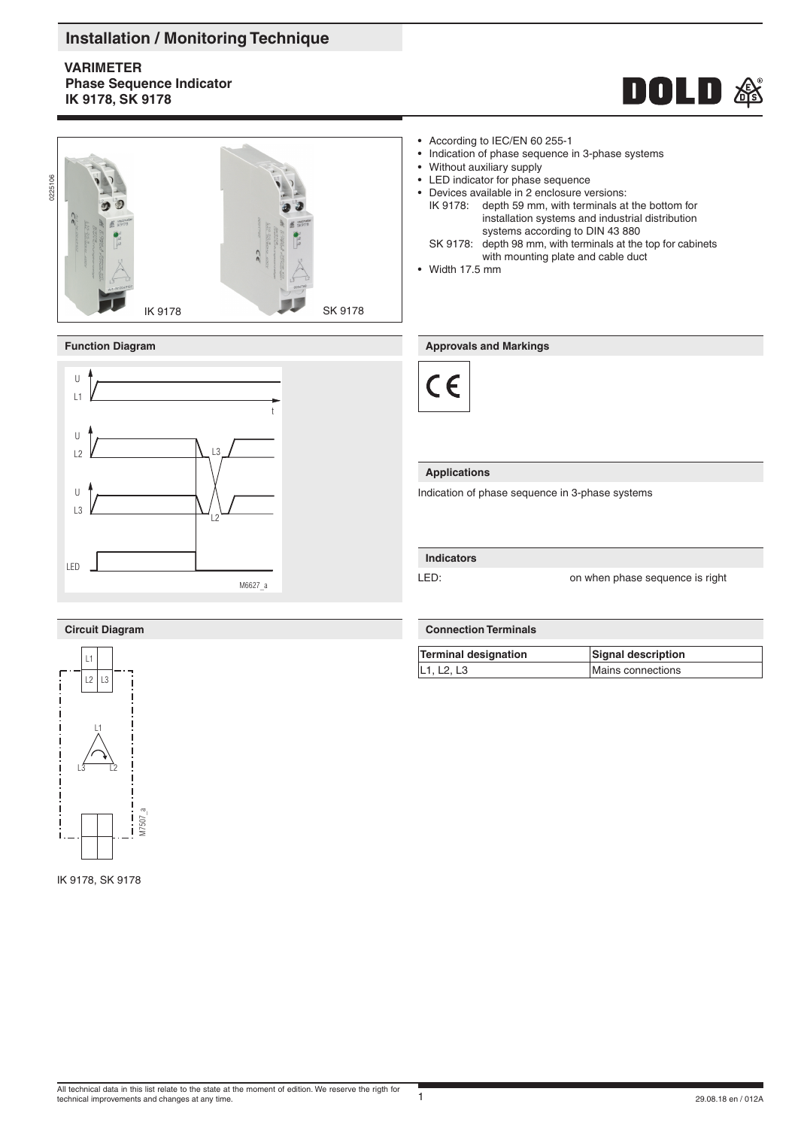### **Installation / Monitoring Technique**

**VARIMETER Phase Sequence Indicator IK 9178, SK 9178**







## • According to IEC/EN 60 255-1<br>• Indication of phase sequence in

- Indication of phase sequence in 3-phase systems<br>• Without auxiliary supply
- Without auxiliary supply
- LED indicator for phase sequence
- Devices available in 2 enclosure versions:
	- IK 9178: depth 59 mm, with terminals at the bottom for installation systems and industrial distribution systems according to DIN 43 880
	- SK 9178: depth 98 mm, with terminals at the top for cabinets with mounting plate and cable duct
- Width 17.5 mm

#### **Function Diagram Approvals and Markings**



#### **Applications**

Indication of phase sequence in 3-phase systems

#### **Indicators**

LED: **LED:** on when phase sequence is right

### **Circuit Diagram**



IK 9178, SK 9178

#### **Connection Terminals**

| Terminal designation | Signal description |
|----------------------|--------------------|
| L1, L2, L3           | Mains connections  |